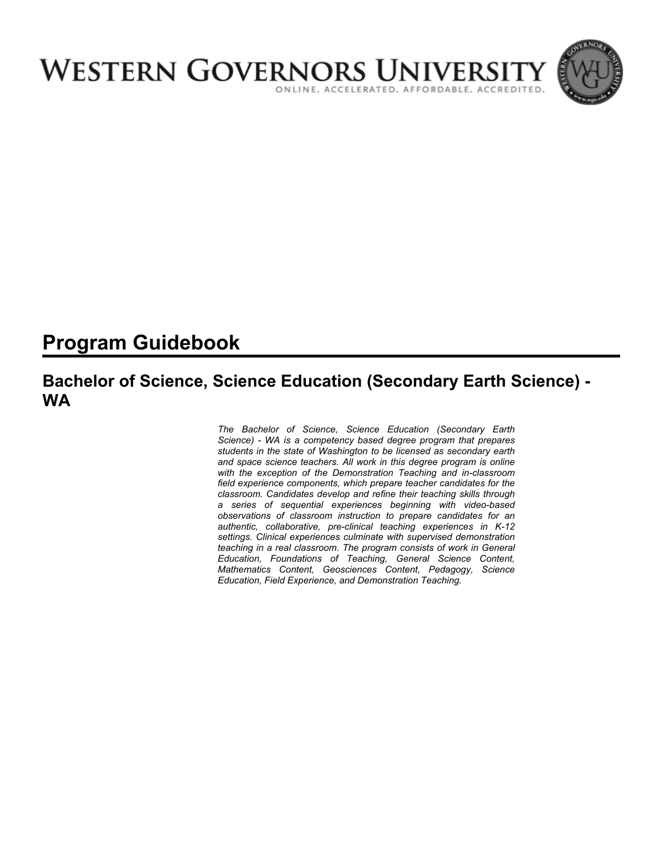

# **Program Guidebook**

# **Bachelor of Science, Science Education (Secondary Earth Science) - WA**

*The Bachelor of Science, Science Education (Secondary Earth Science) - WA is a competency based degree program that prepares students in the state of Washington to be licensed as secondary earth and space science teachers. All work in this degree program is online with the exception of the Demonstration Teaching and in-classroom field experience components, which prepare teacher candidates for the classroom. Candidates develop and refine their teaching skills through a series of sequential experiences beginning with video-based observations of classroom instruction to prepare candidates for an authentic, collaborative, pre-clinical teaching experiences in K-12 settings. Clinical experiences culminate with supervised demonstration teaching in a real classroom. The program consists of work in General Education, Foundations of Teaching, General Science Content, Mathematics Content, Geosciences Content, Pedagogy, Science Education, Field Experience, and Demonstration Teaching.*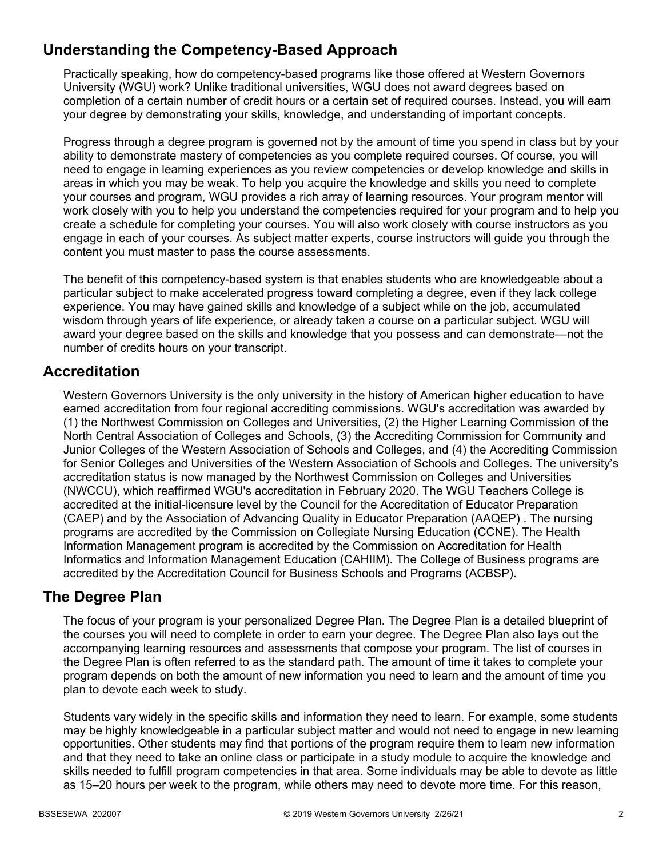# **Understanding the Competency-Based Approach**

Practically speaking, how do competency-based programs like those offered at Western Governors University (WGU) work? Unlike traditional universities, WGU does not award degrees based on completion of a certain number of credit hours or a certain set of required courses. Instead, you will earn your degree by demonstrating your skills, knowledge, and understanding of important concepts.

Progress through a degree program is governed not by the amount of time you spend in class but by your ability to demonstrate mastery of competencies as you complete required courses. Of course, you will need to engage in learning experiences as you review competencies or develop knowledge and skills in areas in which you may be weak. To help you acquire the knowledge and skills you need to complete your courses and program, WGU provides a rich array of learning resources. Your program mentor will work closely with you to help you understand the competencies required for your program and to help you create a schedule for completing your courses. You will also work closely with course instructors as you engage in each of your courses. As subject matter experts, course instructors will guide you through the content you must master to pass the course assessments.

The benefit of this competency-based system is that enables students who are knowledgeable about a particular subject to make accelerated progress toward completing a degree, even if they lack college experience. You may have gained skills and knowledge of a subject while on the job, accumulated wisdom through years of life experience, or already taken a course on a particular subject. WGU will award your degree based on the skills and knowledge that you possess and can demonstrate—not the number of credits hours on your transcript.

### **Accreditation**

Western Governors University is the only university in the history of American higher education to have earned accreditation from four regional accrediting commissions. WGU's accreditation was awarded by (1) the Northwest Commission on Colleges and Universities, (2) the Higher Learning Commission of the North Central Association of Colleges and Schools, (3) the Accrediting Commission for Community and Junior Colleges of the Western Association of Schools and Colleges, and (4) the Accrediting Commission for Senior Colleges and Universities of the Western Association of Schools and Colleges. The university's accreditation status is now managed by the Northwest Commission on Colleges and Universities (NWCCU), which reaffirmed WGU's accreditation in February 2020. The WGU Teachers College is accredited at the initial-licensure level by the Council for the Accreditation of Educator Preparation (CAEP) and by the Association of Advancing Quality in Educator Preparation (AAQEP) . The nursing programs are accredited by the Commission on Collegiate Nursing Education (CCNE). The Health Information Management program is accredited by the Commission on Accreditation for Health Informatics and Information Management Education (CAHIIM). The College of Business programs are accredited by the Accreditation Council for Business Schools and Programs (ACBSP).

### **The Degree Plan**

The focus of your program is your personalized Degree Plan. The Degree Plan is a detailed blueprint of the courses you will need to complete in order to earn your degree. The Degree Plan also lays out the accompanying learning resources and assessments that compose your program. The list of courses in the Degree Plan is often referred to as the standard path. The amount of time it takes to complete your program depends on both the amount of new information you need to learn and the amount of time you plan to devote each week to study.

Students vary widely in the specific skills and information they need to learn. For example, some students may be highly knowledgeable in a particular subject matter and would not need to engage in new learning opportunities. Other students may find that portions of the program require them to learn new information and that they need to take an online class or participate in a study module to acquire the knowledge and skills needed to fulfill program competencies in that area. Some individuals may be able to devote as little as 15–20 hours per week to the program, while others may need to devote more time. For this reason,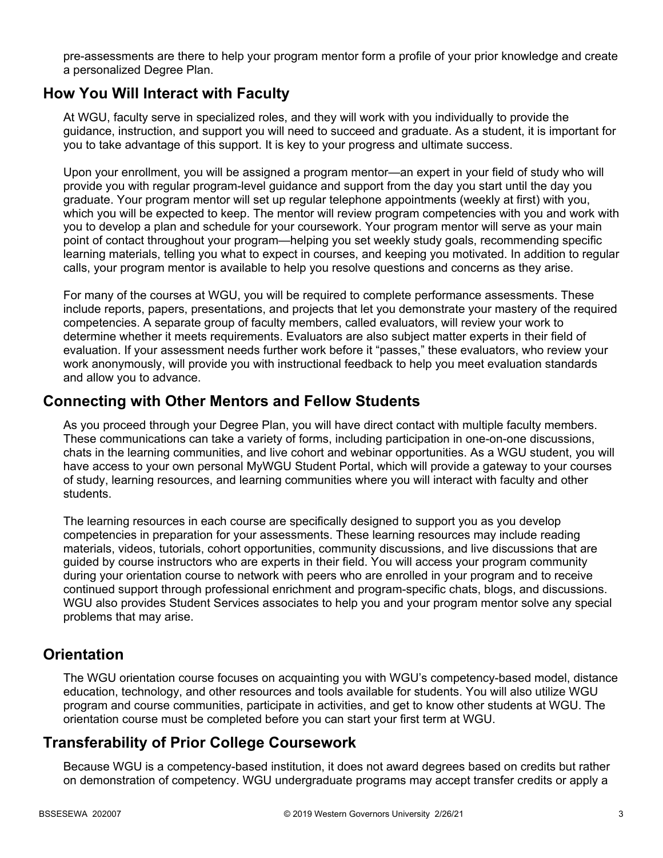pre-assessments are there to help your program mentor form a profile of your prior knowledge and create a personalized Degree Plan.

### **How You Will Interact with Faculty**

At WGU, faculty serve in specialized roles, and they will work with you individually to provide the guidance, instruction, and support you will need to succeed and graduate. As a student, it is important for you to take advantage of this support. It is key to your progress and ultimate success.

Upon your enrollment, you will be assigned a program mentor—an expert in your field of study who will provide you with regular program-level guidance and support from the day you start until the day you graduate. Your program mentor will set up regular telephone appointments (weekly at first) with you, which you will be expected to keep. The mentor will review program competencies with you and work with you to develop a plan and schedule for your coursework. Your program mentor will serve as your main point of contact throughout your program—helping you set weekly study goals, recommending specific learning materials, telling you what to expect in courses, and keeping you motivated. In addition to regular calls, your program mentor is available to help you resolve questions and concerns as they arise.

For many of the courses at WGU, you will be required to complete performance assessments. These include reports, papers, presentations, and projects that let you demonstrate your mastery of the required competencies. A separate group of faculty members, called evaluators, will review your work to determine whether it meets requirements. Evaluators are also subject matter experts in their field of evaluation. If your assessment needs further work before it "passes," these evaluators, who review your work anonymously, will provide you with instructional feedback to help you meet evaluation standards and allow you to advance.

### **Connecting with Other Mentors and Fellow Students**

As you proceed through your Degree Plan, you will have direct contact with multiple faculty members. These communications can take a variety of forms, including participation in one-on-one discussions, chats in the learning communities, and live cohort and webinar opportunities. As a WGU student, you will have access to your own personal MyWGU Student Portal, which will provide a gateway to your courses of study, learning resources, and learning communities where you will interact with faculty and other students.

The learning resources in each course are specifically designed to support you as you develop competencies in preparation for your assessments. These learning resources may include reading materials, videos, tutorials, cohort opportunities, community discussions, and live discussions that are guided by course instructors who are experts in their field. You will access your program community during your orientation course to network with peers who are enrolled in your program and to receive continued support through professional enrichment and program-specific chats, blogs, and discussions. WGU also provides Student Services associates to help you and your program mentor solve any special problems that may arise.

### **Orientation**

The WGU orientation course focuses on acquainting you with WGU's competency-based model, distance education, technology, and other resources and tools available for students. You will also utilize WGU program and course communities, participate in activities, and get to know other students at WGU. The orientation course must be completed before you can start your first term at WGU.

# **Transferability of Prior College Coursework**

Because WGU is a competency-based institution, it does not award degrees based on credits but rather on demonstration of competency. WGU undergraduate programs may accept transfer credits or apply a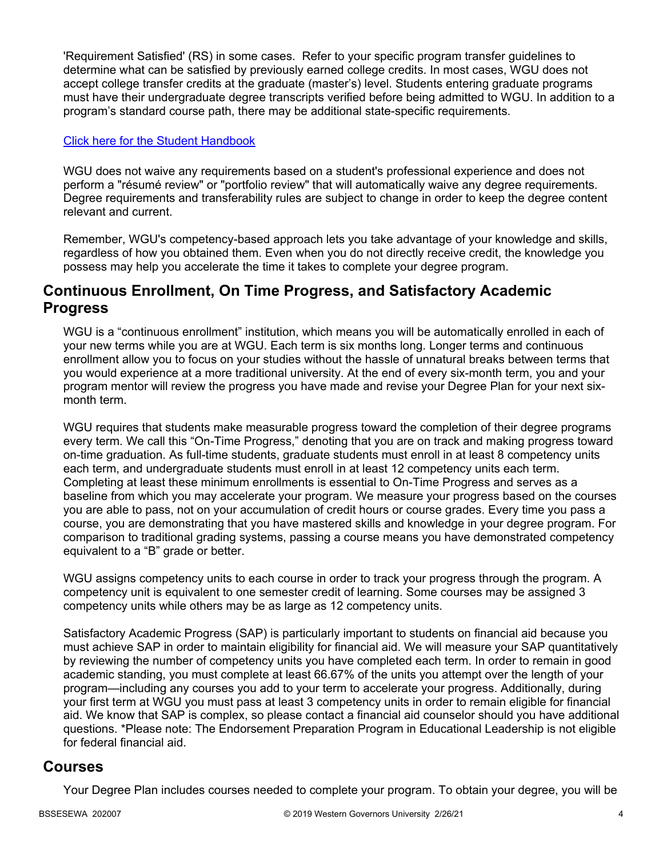'Requirement Satisfied' (RS) in some cases. Refer to your specific program transfer guidelines to determine what can be satisfied by previously earned college credits. In most cases, WGU does not accept college transfer credits at the graduate (master's) level. Students entering graduate programs must have their undergraduate degree transcripts verified before being admitted to WGU. In addition to a program's standard course path, there may be additional state-specific requirements.

### [Click here for the Student Handbook](http://cm.wgu.edu/)

WGU does not waive any requirements based on a student's professional experience and does not perform a "résumé review" or "portfolio review" that will automatically waive any degree requirements. Degree requirements and transferability rules are subject to change in order to keep the degree content relevant and current.

Remember, WGU's competency-based approach lets you take advantage of your knowledge and skills, regardless of how you obtained them. Even when you do not directly receive credit, the knowledge you possess may help you accelerate the time it takes to complete your degree program.

### **Continuous Enrollment, On Time Progress, and Satisfactory Academic Progress**

WGU is a "continuous enrollment" institution, which means you will be automatically enrolled in each of your new terms while you are at WGU. Each term is six months long. Longer terms and continuous enrollment allow you to focus on your studies without the hassle of unnatural breaks between terms that you would experience at a more traditional university. At the end of every six-month term, you and your program mentor will review the progress you have made and revise your Degree Plan for your next sixmonth term.

WGU requires that students make measurable progress toward the completion of their degree programs every term. We call this "On-Time Progress," denoting that you are on track and making progress toward on-time graduation. As full-time students, graduate students must enroll in at least 8 competency units each term, and undergraduate students must enroll in at least 12 competency units each term. Completing at least these minimum enrollments is essential to On-Time Progress and serves as a baseline from which you may accelerate your program. We measure your progress based on the courses you are able to pass, not on your accumulation of credit hours or course grades. Every time you pass a course, you are demonstrating that you have mastered skills and knowledge in your degree program. For comparison to traditional grading systems, passing a course means you have demonstrated competency equivalent to a "B" grade or better.

WGU assigns competency units to each course in order to track your progress through the program. A competency unit is equivalent to one semester credit of learning. Some courses may be assigned 3 competency units while others may be as large as 12 competency units.

Satisfactory Academic Progress (SAP) is particularly important to students on financial aid because you must achieve SAP in order to maintain eligibility for financial aid. We will measure your SAP quantitatively by reviewing the number of competency units you have completed each term. In order to remain in good academic standing, you must complete at least 66.67% of the units you attempt over the length of your program—including any courses you add to your term to accelerate your progress. Additionally, during your first term at WGU you must pass at least 3 competency units in order to remain eligible for financial aid. We know that SAP is complex, so please contact a financial aid counselor should you have additional questions. \*Please note: The Endorsement Preparation Program in Educational Leadership is not eligible for federal financial aid.

### **Courses**

Your Degree Plan includes courses needed to complete your program. To obtain your degree, you will be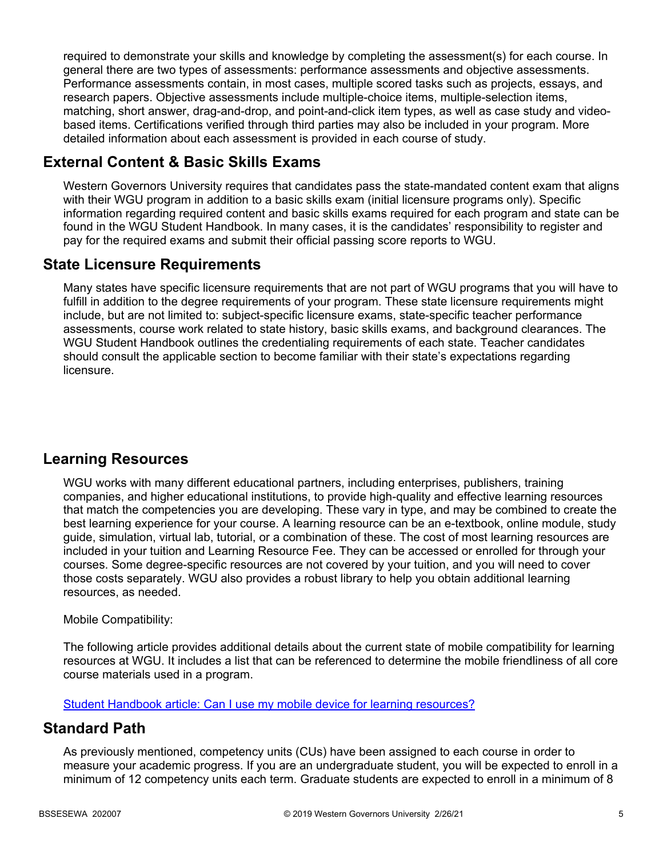required to demonstrate your skills and knowledge by completing the assessment(s) for each course. In general there are two types of assessments: performance assessments and objective assessments. Performance assessments contain, in most cases, multiple scored tasks such as projects, essays, and research papers. Objective assessments include multiple-choice items, multiple-selection items, matching, short answer, drag-and-drop, and point-and-click item types, as well as case study and videobased items. Certifications verified through third parties may also be included in your program. More detailed information about each assessment is provided in each course of study.

# **External Content & Basic Skills Exams**

Western Governors University requires that candidates pass the state-mandated content exam that aligns with their WGU program in addition to a basic skills exam (initial licensure programs only). Specific information regarding required content and basic skills exams required for each program and state can be found in the WGU Student Handbook. In many cases, it is the candidates' responsibility to register and pay for the required exams and submit their official passing score reports to WGU.

### **State Licensure Requirements**

Many states have specific licensure requirements that are not part of WGU programs that you will have to fulfill in addition to the degree requirements of your program. These state licensure requirements might include, but are not limited to: subject-specific licensure exams, state-specific teacher performance assessments, course work related to state history, basic skills exams, and background clearances. The WGU Student Handbook outlines the credentialing requirements of each state. Teacher candidates should consult the applicable section to become familiar with their state's expectations regarding licensure.

# **Learning Resources**

WGU works with many different educational partners, including enterprises, publishers, training companies, and higher educational institutions, to provide high-quality and effective learning resources that match the competencies you are developing. These vary in type, and may be combined to create the best learning experience for your course. A learning resource can be an e-textbook, online module, study guide, simulation, virtual lab, tutorial, or a combination of these. The cost of most learning resources are included in your tuition and Learning Resource Fee. They can be accessed or enrolled for through your courses. Some degree-specific resources are not covered by your tuition, and you will need to cover those costs separately. WGU also provides a robust library to help you obtain additional learning resources, as needed.

### Mobile Compatibility:

The following article provides additional details about the current state of mobile compatibility for learning resources at WGU. It includes a list that can be referenced to determine the mobile friendliness of all core course materials used in a program.

[Student Handbook article: Can I use my mobile device for learning resources?](https://cm.wgu.edu/t5/Frequently-Asked-Questions/Can-I-use-my-mobile-device-for-learning-resources/ta-p/396)

### **Standard Path**

As previously mentioned, competency units (CUs) have been assigned to each course in order to measure your academic progress. If you are an undergraduate student, you will be expected to enroll in a minimum of 12 competency units each term. Graduate students are expected to enroll in a minimum of 8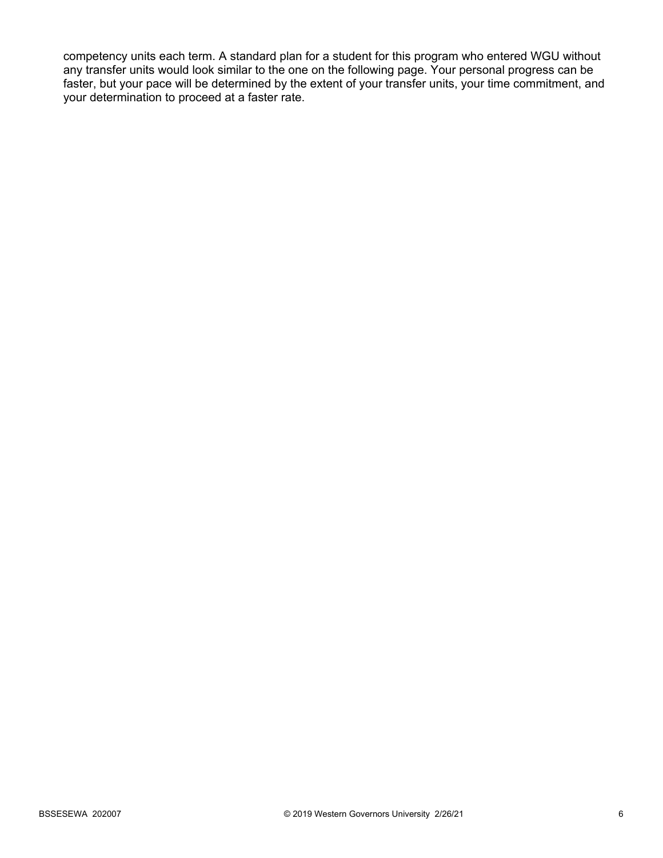competency units each term. A standard plan for a student for this program who entered WGU without any transfer units would look similar to the one on the following page. Your personal progress can be faster, but your pace will be determined by the extent of your transfer units, your time commitment, and your determination to proceed at a faster rate.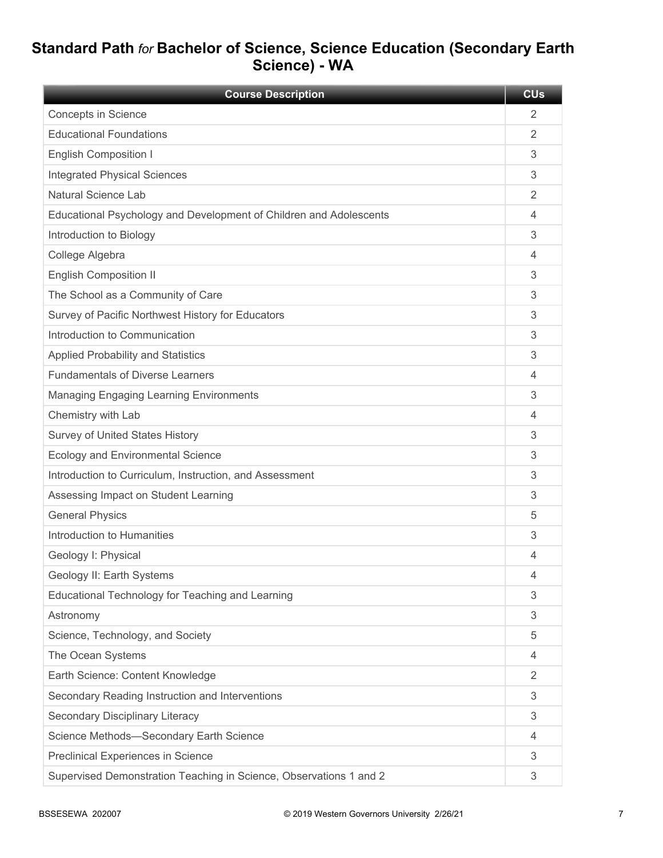# **Standard Path** *for* **Bachelor of Science, Science Education (Secondary Earth Science) - WA**

| <b>Course Description</b>                                          | <b>CU<sub>s</sub></b> |
|--------------------------------------------------------------------|-----------------------|
| <b>Concepts in Science</b>                                         | 2                     |
| <b>Educational Foundations</b>                                     | 2                     |
| <b>English Composition I</b>                                       | 3                     |
| <b>Integrated Physical Sciences</b>                                | 3                     |
| Natural Science Lab                                                | $\overline{2}$        |
| Educational Psychology and Development of Children and Adolescents | 4                     |
| Introduction to Biology                                            | 3                     |
| College Algebra                                                    | 4                     |
| <b>English Composition II</b>                                      | 3                     |
| The School as a Community of Care                                  | 3                     |
| Survey of Pacific Northwest History for Educators                  | 3                     |
| Introduction to Communication                                      | 3                     |
| <b>Applied Probability and Statistics</b>                          | 3                     |
| <b>Fundamentals of Diverse Learners</b>                            | 4                     |
| <b>Managing Engaging Learning Environments</b>                     | 3                     |
| Chemistry with Lab                                                 | 4                     |
| <b>Survey of United States History</b>                             | 3                     |
| <b>Ecology and Environmental Science</b>                           | 3                     |
| Introduction to Curriculum, Instruction, and Assessment            | 3                     |
| Assessing Impact on Student Learning                               | 3                     |
| <b>General Physics</b>                                             | 5                     |
| Introduction to Humanities                                         | 3                     |
| Geology I: Physical                                                | 4                     |
| Geology II: Earth Systems                                          | 4                     |
| Educational Technology for Teaching and Learning                   | 3                     |
| Astronomy                                                          | 3                     |
| Science, Technology, and Society                                   | 5                     |
| The Ocean Systems                                                  | 4                     |
| Earth Science: Content Knowledge                                   | 2                     |
| Secondary Reading Instruction and Interventions                    | 3                     |
| Secondary Disciplinary Literacy                                    | 3                     |
| Science Methods-Secondary Earth Science                            | 4                     |
| Preclinical Experiences in Science                                 | 3                     |
| Supervised Demonstration Teaching in Science, Observations 1 and 2 | 3                     |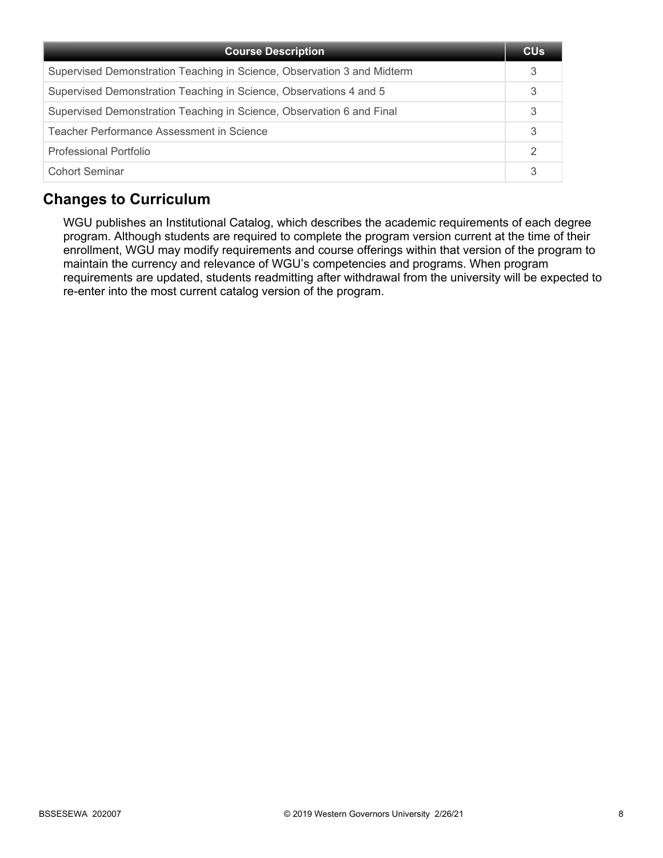| <b>Course Description</b>                                               | <b>CU<sub>s</sub></b> |
|-------------------------------------------------------------------------|-----------------------|
| Supervised Demonstration Teaching in Science, Observation 3 and Midterm |                       |
| Supervised Demonstration Teaching in Science, Observations 4 and 5      | 3                     |
| Supervised Demonstration Teaching in Science, Observation 6 and Final   | 3                     |
| Teacher Performance Assessment in Science                               | 3                     |
| Professional Portfolio                                                  |                       |
| <b>Cohort Seminar</b>                                                   |                       |

# **Changes to Curriculum**

WGU publishes an Institutional Catalog, which describes the academic requirements of each degree program. Although students are required to complete the program version current at the time of their enrollment, WGU may modify requirements and course offerings within that version of the program to maintain the currency and relevance of WGU's competencies and programs. When program requirements are updated, students readmitting after withdrawal from the university will be expected to re-enter into the most current catalog version of the program.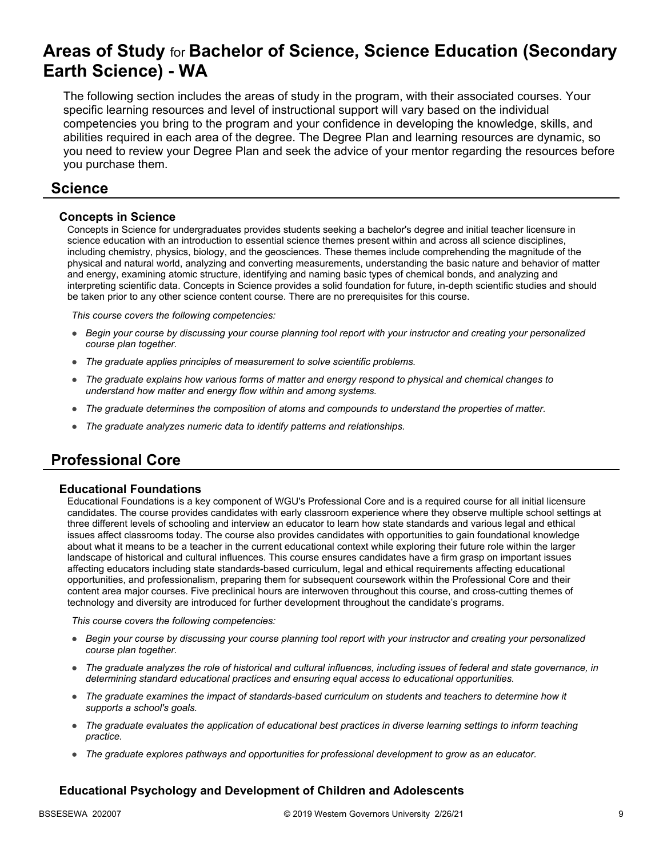# **Areas of Study** for **Bachelor of Science, Science Education (Secondary Earth Science) - WA**

The following section includes the areas of study in the program, with their associated courses. Your specific learning resources and level of instructional support will vary based on the individual competencies you bring to the program and your confidence in developing the knowledge, skills, and abilities required in each area of the degree. The Degree Plan and learning resources are dynamic, so you need to review your Degree Plan and seek the advice of your mentor regarding the resources before you purchase them.

### **Science**

### **Concepts in Science**

Concepts in Science for undergraduates provides students seeking a bachelor's degree and initial teacher licensure in science education with an introduction to essential science themes present within and across all science disciplines, including chemistry, physics, biology, and the geosciences. These themes include comprehending the magnitude of the physical and natural world, analyzing and converting measurements, understanding the basic nature and behavior of matter and energy, examining atomic structure, identifying and naming basic types of chemical bonds, and analyzing and interpreting scientific data. Concepts in Science provides a solid foundation for future, in-depth scientific studies and should be taken prior to any other science content course. There are no prerequisites for this course.

*This course covers the following competencies:*

- *Begin your course by discussing your course planning tool report with your instructor and creating your personalized course plan together.*
- *The graduate applies principles of measurement to solve scientific problems.*
- *The graduate explains how various forms of matter and energy respond to physical and chemical changes to understand how matter and energy flow within and among systems.*
- *The graduate determines the composition of atoms and compounds to understand the properties of matter.*
- *The graduate analyzes numeric data to identify patterns and relationships.*

# **Professional Core**

### **Educational Foundations**

Educational Foundations is a key component of WGU's Professional Core and is a required course for all initial licensure candidates. The course provides candidates with early classroom experience where they observe multiple school settings at three different levels of schooling and interview an educator to learn how state standards and various legal and ethical issues affect classrooms today. The course also provides candidates with opportunities to gain foundational knowledge about what it means to be a teacher in the current educational context while exploring their future role within the larger landscape of historical and cultural influences. This course ensures candidates have a firm grasp on important issues affecting educators including state standards-based curriculum, legal and ethical requirements affecting educational opportunities, and professionalism, preparing them for subsequent coursework within the Professional Core and their content area major courses. Five preclinical hours are interwoven throughout this course, and cross-cutting themes of technology and diversity are introduced for further development throughout the candidate's programs.

*This course covers the following competencies:*

- *Begin your course by discussing your course planning tool report with your instructor and creating your personalized course plan together.*
- *The graduate analyzes the role of historical and cultural influences, including issues of federal and state governance, in determining standard educational practices and ensuring equal access to educational opportunities.*
- *The graduate examines the impact of standards-based curriculum on students and teachers to determine how it supports a school's goals.*
- *The graduate evaluates the application of educational best practices in diverse learning settings to inform teaching practice.*
- *The graduate explores pathways and opportunities for professional development to grow as an educator.*

### **Educational Psychology and Development of Children and Adolescents**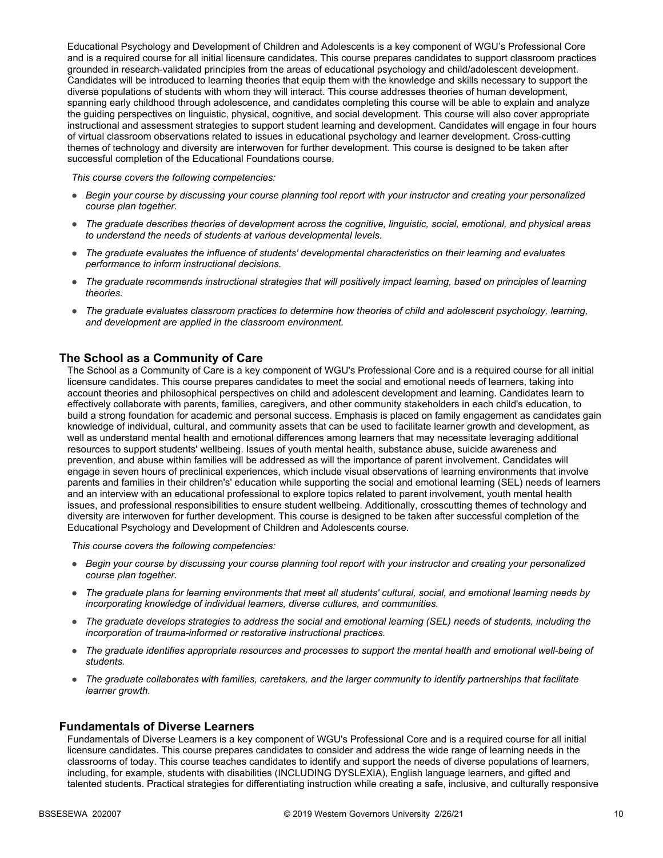Educational Psychology and Development of Children and Adolescents is a key component of WGU's Professional Core and is a required course for all initial licensure candidates. This course prepares candidates to support classroom practices grounded in research-validated principles from the areas of educational psychology and child/adolescent development. Candidates will be introduced to learning theories that equip them with the knowledge and skills necessary to support the diverse populations of students with whom they will interact. This course addresses theories of human development, spanning early childhood through adolescence, and candidates completing this course will be able to explain and analyze the guiding perspectives on linguistic, physical, cognitive, and social development. This course will also cover appropriate instructional and assessment strategies to support student learning and development. Candidates will engage in four hours of virtual classroom observations related to issues in educational psychology and learner development. Cross-cutting themes of technology and diversity are interwoven for further development. This course is designed to be taken after successful completion of the Educational Foundations course.

*This course covers the following competencies:*

- *Begin your course by discussing your course planning tool report with your instructor and creating your personalized course plan together.*
- *The graduate describes theories of development across the cognitive, linguistic, social, emotional, and physical areas to understand the needs of students at various developmental levels.*
- *The graduate evaluates the influence of students' developmental characteristics on their learning and evaluates performance to inform instructional decisions.*
- *The graduate recommends instructional strategies that will positively impact learning, based on principles of learning theories.*
- *The graduate evaluates classroom practices to determine how theories of child and adolescent psychology, learning, and development are applied in the classroom environment.*

### **The School as a Community of Care**

The School as a Community of Care is a key component of WGU's Professional Core and is a required course for all initial licensure candidates. This course prepares candidates to meet the social and emotional needs of learners, taking into account theories and philosophical perspectives on child and adolescent development and learning. Candidates learn to effectively collaborate with parents, families, caregivers, and other community stakeholders in each child's education, to build a strong foundation for academic and personal success. Emphasis is placed on family engagement as candidates gain knowledge of individual, cultural, and community assets that can be used to facilitate learner growth and development, as well as understand mental health and emotional differences among learners that may necessitate leveraging additional resources to support students' wellbeing. Issues of youth mental health, substance abuse, suicide awareness and prevention, and abuse within families will be addressed as will the importance of parent involvement. Candidates will engage in seven hours of preclinical experiences, which include visual observations of learning environments that involve parents and families in their children's' education while supporting the social and emotional learning (SEL) needs of learners and an interview with an educational professional to explore topics related to parent involvement, youth mental health issues, and professional responsibilities to ensure student wellbeing. Additionally, crosscutting themes of technology and diversity are interwoven for further development. This course is designed to be taken after successful completion of the Educational Psychology and Development of Children and Adolescents course.

*This course covers the following competencies:*

- *Begin your course by discussing your course planning tool report with your instructor and creating your personalized course plan together.*
- *The graduate plans for learning environments that meet all students' cultural, social, and emotional learning needs by incorporating knowledge of individual learners, diverse cultures, and communities.*
- *The graduate develops strategies to address the social and emotional learning (SEL) needs of students, including the incorporation of trauma-informed or restorative instructional practices.*
- *The graduate identifies appropriate resources and processes to support the mental health and emotional well-being of students.*
- *The graduate collaborates with families, caretakers, and the larger community to identify partnerships that facilitate learner growth.*

### **Fundamentals of Diverse Learners**

Fundamentals of Diverse Learners is a key component of WGU's Professional Core and is a required course for all initial licensure candidates. This course prepares candidates to consider and address the wide range of learning needs in the classrooms of today. This course teaches candidates to identify and support the needs of diverse populations of learners, including, for example, students with disabilities (INCLUDING DYSLEXIA), English language learners, and gifted and talented students. Practical strategies for differentiating instruction while creating a safe, inclusive, and culturally responsive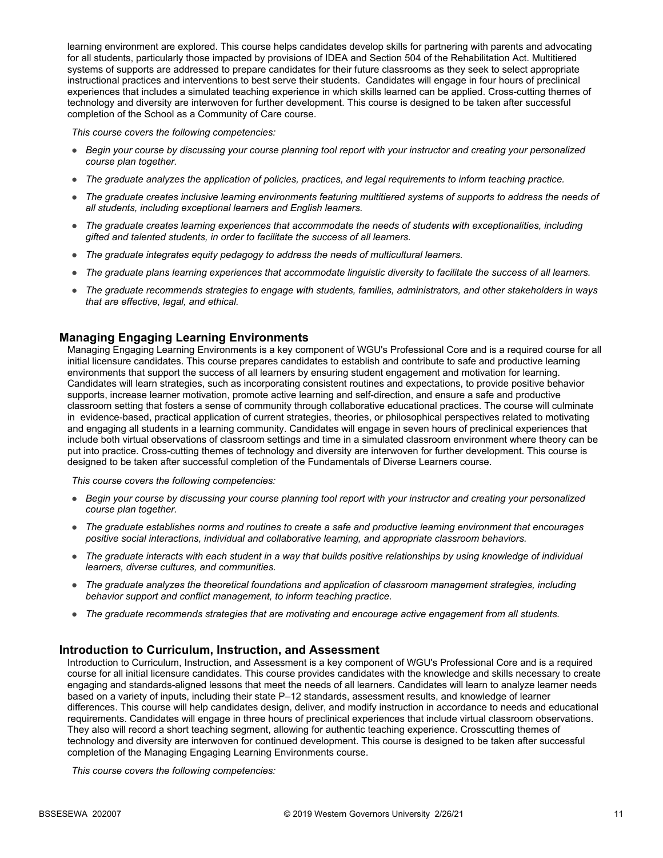learning environment are explored. This course helps candidates develop skills for partnering with parents and advocating for all students, particularly those impacted by provisions of IDEA and Section 504 of the Rehabilitation Act. Multitiered systems of supports are addressed to prepare candidates for their future classrooms as they seek to select appropriate instructional practices and interventions to best serve their students. Candidates will engage in four hours of preclinical experiences that includes a simulated teaching experience in which skills learned can be applied. Cross-cutting themes of technology and diversity are interwoven for further development. This course is designed to be taken after successful completion of the School as a Community of Care course.

*This course covers the following competencies:*

- *Begin your course by discussing your course planning tool report with your instructor and creating your personalized course plan together.*
- *The graduate analyzes the application of policies, practices, and legal requirements to inform teaching practice.*
- *The graduate creates inclusive learning environments featuring multitiered systems of supports to address the needs of all students, including exceptional learners and English learners.*
- *The graduate creates learning experiences that accommodate the needs of students with exceptionalities, including gifted and talented students, in order to facilitate the success of all learners.*
- *The graduate integrates equity pedagogy to address the needs of multicultural learners.*
- *The graduate plans learning experiences that accommodate linguistic diversity to facilitate the success of all learners.*
- *The graduate recommends strategies to engage with students, families, administrators, and other stakeholders in ways that are effective, legal, and ethical.*

### **Managing Engaging Learning Environments**

Managing Engaging Learning Environments is a key component of WGU's Professional Core and is a required course for all initial licensure candidates. This course prepares candidates to establish and contribute to safe and productive learning environments that support the success of all learners by ensuring student engagement and motivation for learning. Candidates will learn strategies, such as incorporating consistent routines and expectations, to provide positive behavior supports, increase learner motivation, promote active learning and self-direction, and ensure a safe and productive classroom setting that fosters a sense of community through collaborative educational practices. The course will culminate in evidence-based, practical application of current strategies, theories, or philosophical perspectives related to motivating and engaging all students in a learning community. Candidates will engage in seven hours of preclinical experiences that include both virtual observations of classroom settings and time in a simulated classroom environment where theory can be put into practice. Cross-cutting themes of technology and diversity are interwoven for further development. This course is designed to be taken after successful completion of the Fundamentals of Diverse Learners course.

*This course covers the following competencies:*

- *Begin your course by discussing your course planning tool report with your instructor and creating your personalized course plan together.*
- *The graduate establishes norms and routines to create a safe and productive learning environment that encourages positive social interactions, individual and collaborative learning, and appropriate classroom behaviors.*
- *The graduate interacts with each student in a way that builds positive relationships by using knowledge of individual learners, diverse cultures, and communities.*
- *The graduate analyzes the theoretical foundations and application of classroom management strategies, including behavior support and conflict management, to inform teaching practice.*
- *The graduate recommends strategies that are motivating and encourage active engagement from all students.*

#### **Introduction to Curriculum, Instruction, and Assessment**

Introduction to Curriculum, Instruction, and Assessment is a key component of WGU's Professional Core and is a required course for all initial licensure candidates. This course provides candidates with the knowledge and skills necessary to create engaging and standards-aligned lessons that meet the needs of all learners. Candidates will learn to analyze learner needs based on a variety of inputs, including their state P–12 standards, assessment results, and knowledge of learner differences. This course will help candidates design, deliver, and modify instruction in accordance to needs and educational requirements. Candidates will engage in three hours of preclinical experiences that include virtual classroom observations. They also will record a short teaching segment, allowing for authentic teaching experience. Crosscutting themes of technology and diversity are interwoven for continued development. This course is designed to be taken after successful completion of the Managing Engaging Learning Environments course.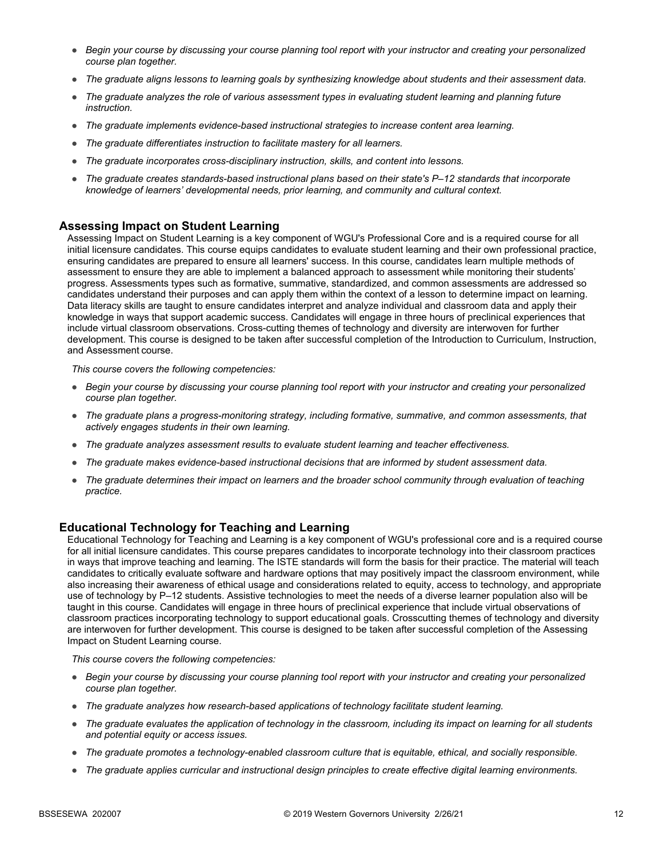- *Begin your course by discussing your course planning tool report with your instructor and creating your personalized course plan together.*
- *The graduate aligns lessons to learning goals by synthesizing knowledge about students and their assessment data.*
- *The graduate analyzes the role of various assessment types in evaluating student learning and planning future instruction.*
- *The graduate implements evidence-based instructional strategies to increase content area learning.*
- *The graduate differentiates instruction to facilitate mastery for all learners.*
- *The graduate incorporates cross-disciplinary instruction, skills, and content into lessons.*
- *The graduate creates standards-based instructional plans based on their state's P–12 standards that incorporate knowledge of learners' developmental needs, prior learning, and community and cultural context.*

### **Assessing Impact on Student Learning**

Assessing Impact on Student Learning is a key component of WGU's Professional Core and is a required course for all initial licensure candidates. This course equips candidates to evaluate student learning and their own professional practice, ensuring candidates are prepared to ensure all learners' success. In this course, candidates learn multiple methods of assessment to ensure they are able to implement a balanced approach to assessment while monitoring their students' progress. Assessments types such as formative, summative, standardized, and common assessments are addressed so candidates understand their purposes and can apply them within the context of a lesson to determine impact on learning. Data literacy skills are taught to ensure candidates interpret and analyze individual and classroom data and apply their knowledge in ways that support academic success. Candidates will engage in three hours of preclinical experiences that include virtual classroom observations. Cross-cutting themes of technology and diversity are interwoven for further development. This course is designed to be taken after successful completion of the Introduction to Curriculum, Instruction, and Assessment course.

*This course covers the following competencies:*

- *Begin your course by discussing your course planning tool report with your instructor and creating your personalized course plan together.*
- *The graduate plans a progress-monitoring strategy, including formative, summative, and common assessments, that actively engages students in their own learning.*
- *The graduate analyzes assessment results to evaluate student learning and teacher effectiveness.*
- *The graduate makes evidence-based instructional decisions that are informed by student assessment data.*
- *The graduate determines their impact on learners and the broader school community through evaluation of teaching practice.*

### **Educational Technology for Teaching and Learning**

Educational Technology for Teaching and Learning is a key component of WGU's professional core and is a required course for all initial licensure candidates. This course prepares candidates to incorporate technology into their classroom practices in ways that improve teaching and learning. The ISTE standards will form the basis for their practice. The material will teach candidates to critically evaluate software and hardware options that may positively impact the classroom environment, while also increasing their awareness of ethical usage and considerations related to equity, access to technology, and appropriate use of technology by P–12 students. Assistive technologies to meet the needs of a diverse learner population also will be taught in this course. Candidates will engage in three hours of preclinical experience that include virtual observations of classroom practices incorporating technology to support educational goals. Crosscutting themes of technology and diversity are interwoven for further development. This course is designed to be taken after successful completion of the Assessing Impact on Student Learning course.

- *Begin your course by discussing your course planning tool report with your instructor and creating your personalized course plan together.*
- *The graduate analyzes how research-based applications of technology facilitate student learning.*
- *The graduate evaluates the application of technology in the classroom, including its impact on learning for all students and potential equity or access issues.*
- *The graduate promotes a technology-enabled classroom culture that is equitable, ethical, and socially responsible.*
- *The graduate applies curricular and instructional design principles to create effective digital learning environments.*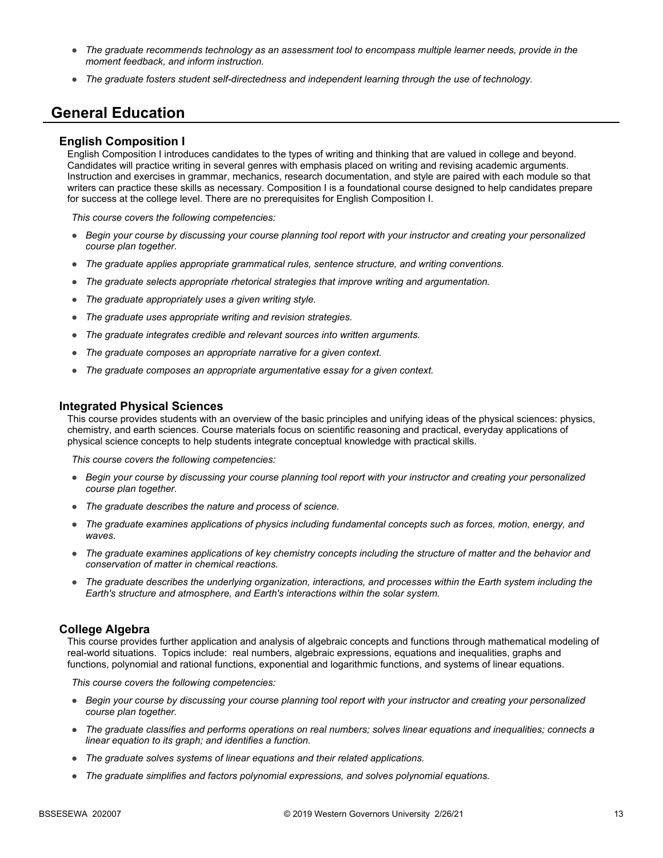- *The graduate recommends technology as an assessment tool to encompass multiple learner needs, provide in the moment feedback, and inform instruction.*
- *The graduate fosters student self-directedness and independent learning through the use of technology.*

### **General Education**

#### **English Composition I**

English Composition I introduces candidates to the types of writing and thinking that are valued in college and beyond. Candidates will practice writing in several genres with emphasis placed on writing and revising academic arguments. Instruction and exercises in grammar, mechanics, research documentation, and style are paired with each module so that writers can practice these skills as necessary. Composition I is a foundational course designed to help candidates prepare for success at the college level. There are no prerequisites for English Composition I.

*This course covers the following competencies:*

- *Begin your course by discussing your course planning tool report with your instructor and creating your personalized course plan together.*
- *The graduate applies appropriate grammatical rules, sentence structure, and writing conventions.*
- *The graduate selects appropriate rhetorical strategies that improve writing and argumentation.*
- *The graduate appropriately uses a given writing style.*
- *The graduate uses appropriate writing and revision strategies.*
- *The graduate integrates credible and relevant sources into written arguments.*
- *The graduate composes an appropriate narrative for a given context.*
- *The graduate composes an appropriate argumentative essay for a given context.*

#### **Integrated Physical Sciences**

This course provides students with an overview of the basic principles and unifying ideas of the physical sciences: physics, chemistry, and earth sciences. Course materials focus on scientific reasoning and practical, everyday applications of physical science concepts to help students integrate conceptual knowledge with practical skills.

*This course covers the following competencies:*

- *Begin your course by discussing your course planning tool report with your instructor and creating your personalized course plan together.*
- *The graduate describes the nature and process of science.*
- *The graduate examines applications of physics including fundamental concepts such as forces, motion, energy, and waves.*
- *The graduate examines applications of key chemistry concepts including the structure of matter and the behavior and conservation of matter in chemical reactions.*
- *The graduate describes the underlying organization, interactions, and processes within the Earth system including the Earth's structure and atmosphere, and Earth's interactions within the solar system.*

#### **College Algebra**

This course provides further application and analysis of algebraic concepts and functions through mathematical modeling of real-world situations. Topics include: real numbers, algebraic expressions, equations and inequalities, graphs and functions, polynomial and rational functions, exponential and logarithmic functions, and systems of linear equations.

- *Begin your course by discussing your course planning tool report with your instructor and creating your personalized course plan together.*
- *The graduate classifies and performs operations on real numbers; solves linear equations and inequalities; connects a linear equation to its graph; and identifies a function.*
- *The graduate solves systems of linear equations and their related applications.*
- *The graduate simplifies and factors polynomial expressions, and solves polynomial equations.*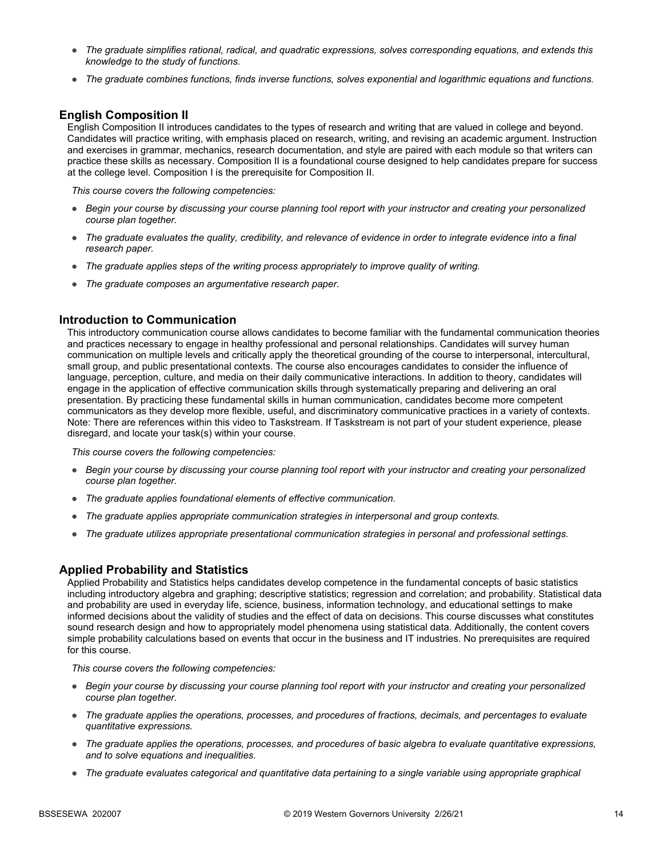- *The graduate simplifies rational, radical, and quadratic expressions, solves corresponding equations, and extends this knowledge to the study of functions.*
- *The graduate combines functions, finds inverse functions, solves exponential and logarithmic equations and functions.*

### **English Composition II**

English Composition II introduces candidates to the types of research and writing that are valued in college and beyond. Candidates will practice writing, with emphasis placed on research, writing, and revising an academic argument. Instruction and exercises in grammar, mechanics, research documentation, and style are paired with each module so that writers can practice these skills as necessary. Composition II is a foundational course designed to help candidates prepare for success at the college level. Composition I is the prerequisite for Composition II.

*This course covers the following competencies:*

- *Begin your course by discussing your course planning tool report with your instructor and creating your personalized course plan together.*
- *The graduate evaluates the quality, credibility, and relevance of evidence in order to integrate evidence into a final research paper.*
- *The graduate applies steps of the writing process appropriately to improve quality of writing.*
- *The graduate composes an argumentative research paper.*

### **Introduction to Communication**

This introductory communication course allows candidates to become familiar with the fundamental communication theories and practices necessary to engage in healthy professional and personal relationships. Candidates will survey human communication on multiple levels and critically apply the theoretical grounding of the course to interpersonal, intercultural, small group, and public presentational contexts. The course also encourages candidates to consider the influence of language, perception, culture, and media on their daily communicative interactions. In addition to theory, candidates will engage in the application of effective communication skills through systematically preparing and delivering an oral presentation. By practicing these fundamental skills in human communication, candidates become more competent communicators as they develop more flexible, useful, and discriminatory communicative practices in a variety of contexts. Note: There are references within this video to Taskstream. If Taskstream is not part of your student experience, please disregard, and locate your task(s) within your course.

*This course covers the following competencies:*

- *Begin your course by discussing your course planning tool report with your instructor and creating your personalized course plan together.*
- *The graduate applies foundational elements of effective communication.*
- *The graduate applies appropriate communication strategies in interpersonal and group contexts.*
- *The graduate utilizes appropriate presentational communication strategies in personal and professional settings.*

### **Applied Probability and Statistics**

Applied Probability and Statistics helps candidates develop competence in the fundamental concepts of basic statistics including introductory algebra and graphing; descriptive statistics; regression and correlation; and probability. Statistical data and probability are used in everyday life, science, business, information technology, and educational settings to make informed decisions about the validity of studies and the effect of data on decisions. This course discusses what constitutes sound research design and how to appropriately model phenomena using statistical data. Additionally, the content covers simple probability calculations based on events that occur in the business and IT industries. No prerequisites are required for this course.

- *Begin your course by discussing your course planning tool report with your instructor and creating your personalized course plan together.*
- *The graduate applies the operations, processes, and procedures of fractions, decimals, and percentages to evaluate quantitative expressions.*
- *The graduate applies the operations, processes, and procedures of basic algebra to evaluate quantitative expressions, and to solve equations and inequalities.*
- *The graduate evaluates categorical and quantitative data pertaining to a single variable using appropriate graphical*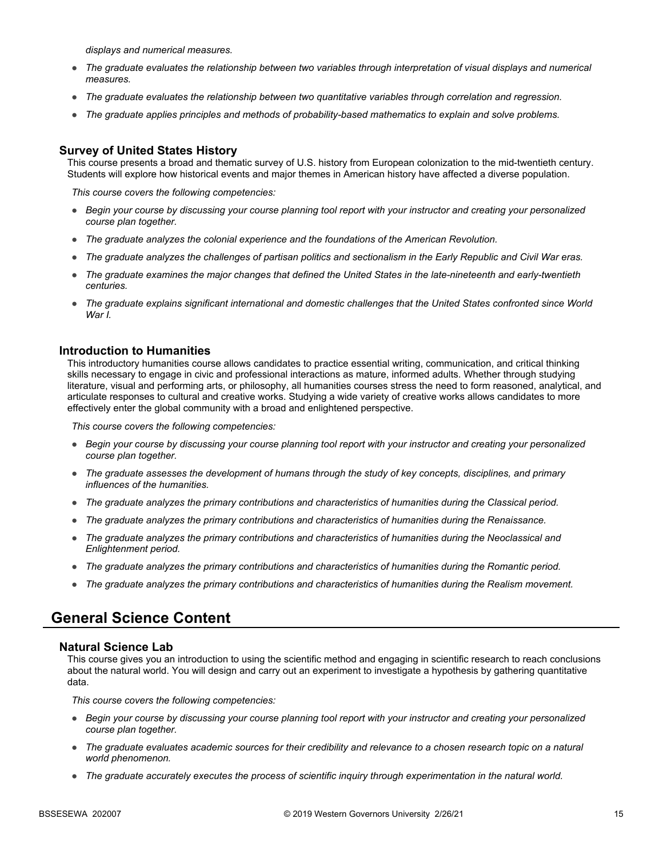*displays and numerical measures.*

- *The graduate evaluates the relationship between two variables through interpretation of visual displays and numerical measures.*
- *The graduate evaluates the relationship between two quantitative variables through correlation and regression.*
- *The graduate applies principles and methods of probability-based mathematics to explain and solve problems.*

### **Survey of United States History**

This course presents a broad and thematic survey of U.S. history from European colonization to the mid-twentieth century. Students will explore how historical events and major themes in American history have affected a diverse population.

*This course covers the following competencies:*

- *Begin your course by discussing your course planning tool report with your instructor and creating your personalized course plan together.*
- *The graduate analyzes the colonial experience and the foundations of the American Revolution.*
- *The graduate analyzes the challenges of partisan politics and sectionalism in the Early Republic and Civil War eras.*
- *The graduate examines the major changes that defined the United States in the late-nineteenth and early-twentieth centuries.*
- *The graduate explains significant international and domestic challenges that the United States confronted since World War I.*

#### **Introduction to Humanities**

This introductory humanities course allows candidates to practice essential writing, communication, and critical thinking skills necessary to engage in civic and professional interactions as mature, informed adults. Whether through studying literature, visual and performing arts, or philosophy, all humanities courses stress the need to form reasoned, analytical, and articulate responses to cultural and creative works. Studying a wide variety of creative works allows candidates to more effectively enter the global community with a broad and enlightened perspective.

*This course covers the following competencies:*

- *Begin your course by discussing your course planning tool report with your instructor and creating your personalized course plan together.*
- *The graduate assesses the development of humans through the study of key concepts, disciplines, and primary influences of the humanities.*
- *The graduate analyzes the primary contributions and characteristics of humanities during the Classical period.*
- *The graduate analyzes the primary contributions and characteristics of humanities during the Renaissance.*
- *The graduate analyzes the primary contributions and characteristics of humanities during the Neoclassical and Enlightenment period.*
- *The graduate analyzes the primary contributions and characteristics of humanities during the Romantic period.*
- *The graduate analyzes the primary contributions and characteristics of humanities during the Realism movement.*

### **General Science Content**

#### **Natural Science Lab**

This course gives you an introduction to using the scientific method and engaging in scientific research to reach conclusions about the natural world. You will design and carry out an experiment to investigate a hypothesis by gathering quantitative data.

- *Begin your course by discussing your course planning tool report with your instructor and creating your personalized course plan together.*
- *The graduate evaluates academic sources for their credibility and relevance to a chosen research topic on a natural world phenomenon.*
- *The graduate accurately executes the process of scientific inquiry through experimentation in the natural world.*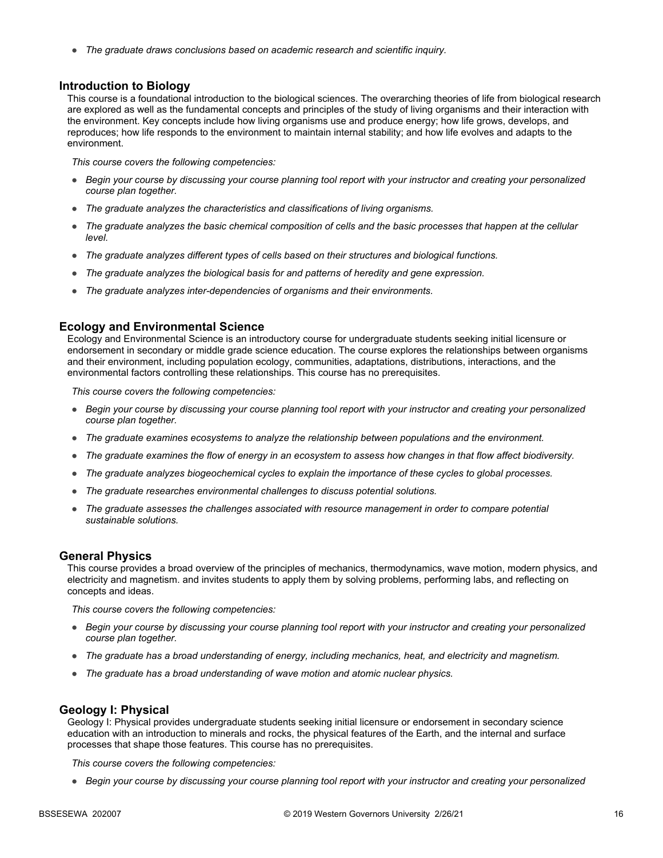● *The graduate draws conclusions based on academic research and scientific inquiry.*

#### **Introduction to Biology**

This course is a foundational introduction to the biological sciences. The overarching theories of life from biological research are explored as well as the fundamental concepts and principles of the study of living organisms and their interaction with the environment. Key concepts include how living organisms use and produce energy; how life grows, develops, and reproduces; how life responds to the environment to maintain internal stability; and how life evolves and adapts to the environment.

*This course covers the following competencies:*

- *Begin your course by discussing your course planning tool report with your instructor and creating your personalized course plan together.*
- *The graduate analyzes the characteristics and classifications of living organisms.*
- *The graduate analyzes the basic chemical composition of cells and the basic processes that happen at the cellular level.*
- *The graduate analyzes different types of cells based on their structures and biological functions.*
- *The graduate analyzes the biological basis for and patterns of heredity and gene expression.*
- *The graduate analyzes inter-dependencies of organisms and their environments.*

### **Ecology and Environmental Science**

Ecology and Environmental Science is an introductory course for undergraduate students seeking initial licensure or endorsement in secondary or middle grade science education. The course explores the relationships between organisms and their environment, including population ecology, communities, adaptations, distributions, interactions, and the environmental factors controlling these relationships. This course has no prerequisites.

*This course covers the following competencies:*

- *Begin your course by discussing your course planning tool report with your instructor and creating your personalized course plan together.*
- *The graduate examines ecosystems to analyze the relationship between populations and the environment.*
- *The graduate examines the flow of energy in an ecosystem to assess how changes in that flow affect biodiversity.*
- *The graduate analyzes biogeochemical cycles to explain the importance of these cycles to global processes.*
- *The graduate researches environmental challenges to discuss potential solutions.*
- *The graduate assesses the challenges associated with resource management in order to compare potential sustainable solutions.*

#### **General Physics**

This course provides a broad overview of the principles of mechanics, thermodynamics, wave motion, modern physics, and electricity and magnetism. and invites students to apply them by solving problems, performing labs, and reflecting on concepts and ideas.

*This course covers the following competencies:*

- *Begin your course by discussing your course planning tool report with your instructor and creating your personalized course plan together.*
- *The graduate has a broad understanding of energy, including mechanics, heat, and electricity and magnetism.*
- *The graduate has a broad understanding of wave motion and atomic nuclear physics.*

### **Geology I: Physical**

Geology I: Physical provides undergraduate students seeking initial licensure or endorsement in secondary science education with an introduction to minerals and rocks, the physical features of the Earth, and the internal and surface processes that shape those features. This course has no prerequisites.

*This course covers the following competencies:*

● *Begin your course by discussing your course planning tool report with your instructor and creating your personalized*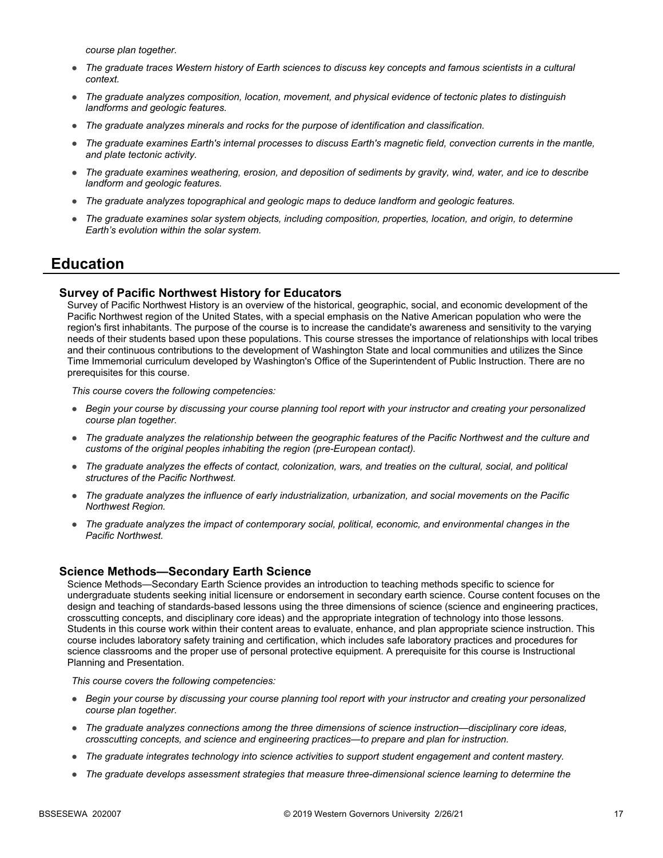*course plan together.*

- The graduate traces Western history of Earth sciences to discuss key concepts and famous scientists in a cultural *context.*
- *The graduate analyzes composition, location, movement, and physical evidence of tectonic plates to distinguish landforms and geologic features.*
- *The graduate analyzes minerals and rocks for the purpose of identification and classification.*
- *The graduate examines Earth's internal processes to discuss Earth's magnetic field, convection currents in the mantle, and plate tectonic activity.*
- *The graduate examines weathering, erosion, and deposition of sediments by gravity, wind, water, and ice to describe landform and geologic features.*
- *The graduate analyzes topographical and geologic maps to deduce landform and geologic features.*
- *The graduate examines solar system objects, including composition, properties, location, and origin, to determine Earth's evolution within the solar system.*

### **Education**

### **Survey of Pacific Northwest History for Educators**

Survey of Pacific Northwest History is an overview of the historical, geographic, social, and economic development of the Pacific Northwest region of the United States, with a special emphasis on the Native American population who were the region's first inhabitants. The purpose of the course is to increase the candidate's awareness and sensitivity to the varying needs of their students based upon these populations. This course stresses the importance of relationships with local tribes and their continuous contributions to the development of Washington State and local communities and utilizes the Since Time Immemorial curriculum developed by Washington's Office of the Superintendent of Public Instruction. There are no prerequisites for this course.

*This course covers the following competencies:*

- *Begin your course by discussing your course planning tool report with your instructor and creating your personalized course plan together.*
- *The graduate analyzes the relationship between the geographic features of the Pacific Northwest and the culture and customs of the original peoples inhabiting the region (pre-European contact).*
- *The graduate analyzes the effects of contact, colonization, wars, and treaties on the cultural, social, and political structures of the Pacific Northwest.*
- *The graduate analyzes the influence of early industrialization, urbanization, and social movements on the Pacific Northwest Region.*
- *The graduate analyzes the impact of contemporary social, political, economic, and environmental changes in the Pacific Northwest.*

### **Science Methods—Secondary Earth Science**

Science Methods—Secondary Earth Science provides an introduction to teaching methods specific to science for undergraduate students seeking initial licensure or endorsement in secondary earth science. Course content focuses on the design and teaching of standards-based lessons using the three dimensions of science (science and engineering practices, crosscutting concepts, and disciplinary core ideas) and the appropriate integration of technology into those lessons. Students in this course work within their content areas to evaluate, enhance, and plan appropriate science instruction. This course includes laboratory safety training and certification, which includes safe laboratory practices and procedures for science classrooms and the proper use of personal protective equipment. A prerequisite for this course is Instructional Planning and Presentation.

- *Begin your course by discussing your course planning tool report with your instructor and creating your personalized course plan together.*
- *The graduate analyzes connections among the three dimensions of science instruction—disciplinary core ideas, crosscutting concepts, and science and engineering practices—to prepare and plan for instruction.*
- *The graduate integrates technology into science activities to support student engagement and content mastery.*
- *The graduate develops assessment strategies that measure three-dimensional science learning to determine the*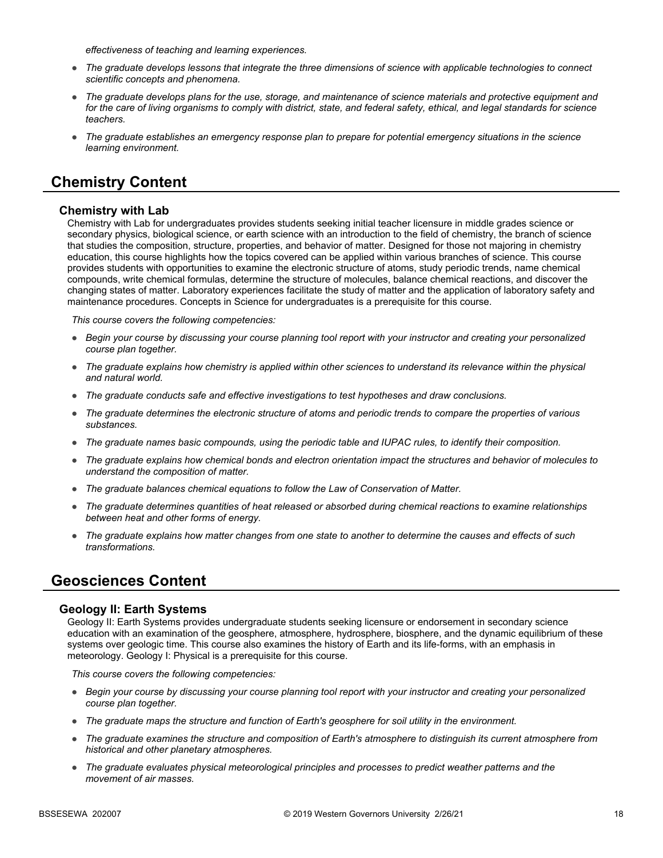*effectiveness of teaching and learning experiences.*

- *The graduate develops lessons that integrate the three dimensions of science with applicable technologies to connect scientific concepts and phenomena.*
- *The graduate develops plans for the use, storage, and maintenance of science materials and protective equipment and for the care of living organisms to comply with district, state, and federal safety, ethical, and legal standards for science teachers.*
- *The graduate establishes an emergency response plan to prepare for potential emergency situations in the science learning environment.*

### **Chemistry Content**

#### **Chemistry with Lab**

Chemistry with Lab for undergraduates provides students seeking initial teacher licensure in middle grades science or secondary physics, biological science, or earth science with an introduction to the field of chemistry, the branch of science that studies the composition, structure, properties, and behavior of matter. Designed for those not majoring in chemistry education, this course highlights how the topics covered can be applied within various branches of science. This course provides students with opportunities to examine the electronic structure of atoms, study periodic trends, name chemical compounds, write chemical formulas, determine the structure of molecules, balance chemical reactions, and discover the changing states of matter. Laboratory experiences facilitate the study of matter and the application of laboratory safety and maintenance procedures. Concepts in Science for undergraduates is a prerequisite for this course.

*This course covers the following competencies:*

- *Begin your course by discussing your course planning tool report with your instructor and creating your personalized course plan together.*
- *The graduate explains how chemistry is applied within other sciences to understand its relevance within the physical and natural world.*
- *The graduate conducts safe and effective investigations to test hypotheses and draw conclusions.*
- *The graduate determines the electronic structure of atoms and periodic trends to compare the properties of various substances.*
- *The graduate names basic compounds, using the periodic table and IUPAC rules, to identify their composition.*
- *The graduate explains how chemical bonds and electron orientation impact the structures and behavior of molecules to understand the composition of matter.*
- *The graduate balances chemical equations to follow the Law of Conservation of Matter.*
- *The graduate determines quantities of heat released or absorbed during chemical reactions to examine relationships between heat and other forms of energy.*
- *The graduate explains how matter changes from one state to another to determine the causes and effects of such transformations.*

### **Geosciences Content**

#### **Geology II: Earth Systems**

Geology II: Earth Systems provides undergraduate students seeking licensure or endorsement in secondary science education with an examination of the geosphere, atmosphere, hydrosphere, biosphere, and the dynamic equilibrium of these systems over geologic time. This course also examines the history of Earth and its life-forms, with an emphasis in meteorology. Geology I: Physical is a prerequisite for this course.

- *Begin your course by discussing your course planning tool report with your instructor and creating your personalized course plan together.*
- *The graduate maps the structure and function of Earth's geosphere for soil utility in the environment.*
- *The graduate examines the structure and composition of Earth's atmosphere to distinguish its current atmosphere from historical and other planetary atmospheres.*
- *The graduate evaluates physical meteorological principles and processes to predict weather patterns and the movement of air masses.*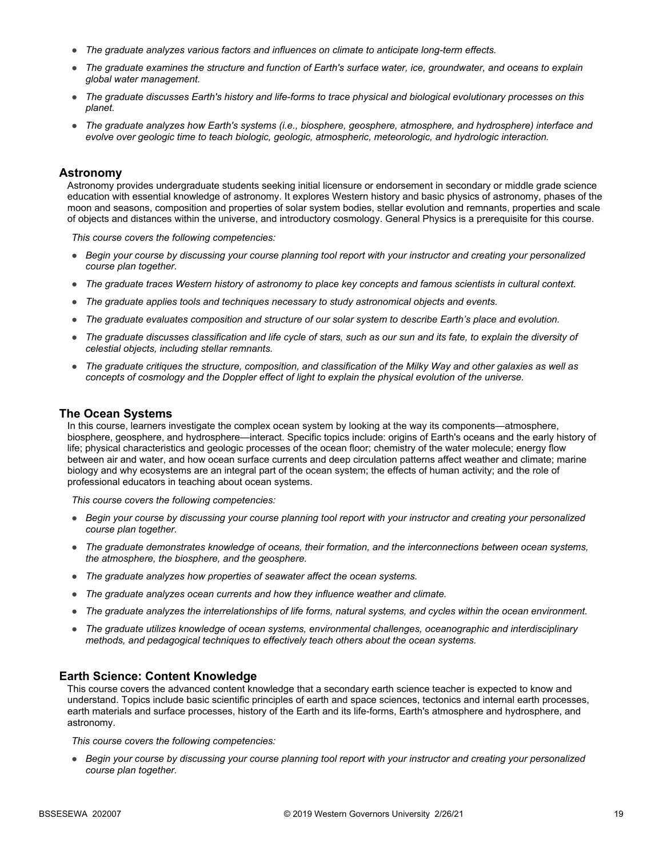- *The graduate analyzes various factors and influences on climate to anticipate long-term effects.*
- *The graduate examines the structure and function of Earth's surface water, ice, groundwater, and oceans to explain global water management.*
- *The graduate discusses Earth's history and life-forms to trace physical and biological evolutionary processes on this planet.*
- *The graduate analyzes how Earth's systems (i.e., biosphere, geosphere, atmosphere, and hydrosphere) interface and evolve over geologic time to teach biologic, geologic, atmospheric, meteorologic, and hydrologic interaction.*

#### **Astronomy**

Astronomy provides undergraduate students seeking initial licensure or endorsement in secondary or middle grade science education with essential knowledge of astronomy. It explores Western history and basic physics of astronomy, phases of the moon and seasons, composition and properties of solar system bodies, stellar evolution and remnants, properties and scale of objects and distances within the universe, and introductory cosmology. General Physics is a prerequisite for this course.

*This course covers the following competencies:*

- *Begin your course by discussing your course planning tool report with your instructor and creating your personalized course plan together.*
- *The graduate traces Western history of astronomy to place key concepts and famous scientists in cultural context.*
- *The graduate applies tools and techniques necessary to study astronomical objects and events.*
- *The graduate evaluates composition and structure of our solar system to describe Earth's place and evolution.*
- *The graduate discusses classification and life cycle of stars, such as our sun and its fate, to explain the diversity of celestial objects, including stellar remnants.*
- *The graduate critiques the structure, composition, and classification of the Milky Way and other galaxies as well as concepts of cosmology and the Doppler effect of light to explain the physical evolution of the universe.*

#### **The Ocean Systems**

In this course, learners investigate the complex ocean system by looking at the way its components—atmosphere, biosphere, geosphere, and hydrosphere—interact. Specific topics include: origins of Earth's oceans and the early history of life; physical characteristics and geologic processes of the ocean floor; chemistry of the water molecule; energy flow between air and water, and how ocean surface currents and deep circulation patterns affect weather and climate; marine biology and why ecosystems are an integral part of the ocean system; the effects of human activity; and the role of professional educators in teaching about ocean systems.

*This course covers the following competencies:*

- *Begin your course by discussing your course planning tool report with your instructor and creating your personalized course plan together.*
- *The graduate demonstrates knowledge of oceans, their formation, and the interconnections between ocean systems, the atmosphere, the biosphere, and the geosphere.*
- *The graduate analyzes how properties of seawater affect the ocean systems.*
- *The graduate analyzes ocean currents and how they influence weather and climate.*
- *The graduate analyzes the interrelationships of life forms, natural systems, and cycles within the ocean environment.*
- *The graduate utilizes knowledge of ocean systems, environmental challenges, oceanographic and interdisciplinary methods, and pedagogical techniques to effectively teach others about the ocean systems.*

#### **Earth Science: Content Knowledge**

This course covers the advanced content knowledge that a secondary earth science teacher is expected to know and understand. Topics include basic scientific principles of earth and space sciences, tectonics and internal earth processes, earth materials and surface processes, history of the Earth and its life-forms, Earth's atmosphere and hydrosphere, and astronomy.

*This course covers the following competencies:*

● *Begin your course by discussing your course planning tool report with your instructor and creating your personalized course plan together.*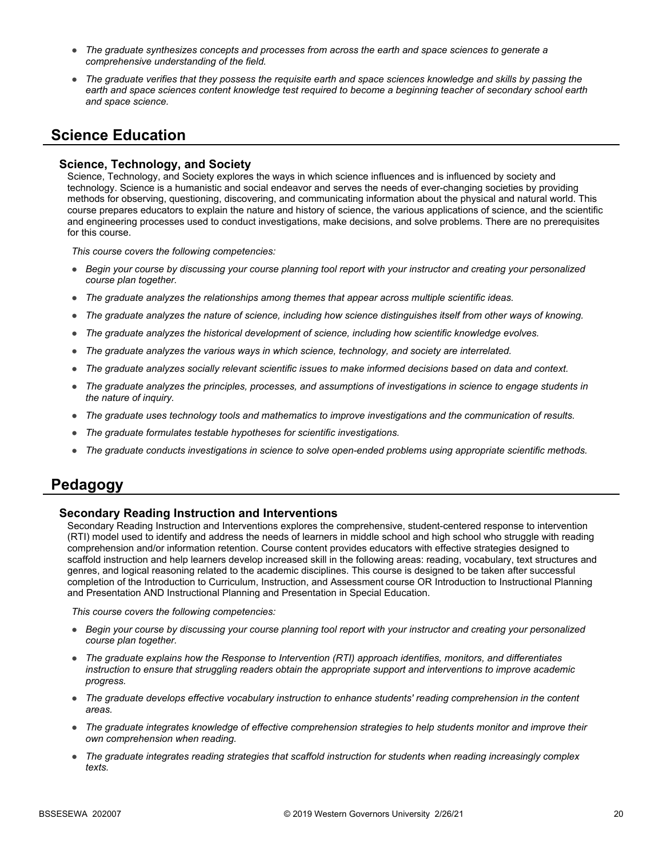- *The graduate synthesizes concepts and processes from across the earth and space sciences to generate a comprehensive understanding of the field.*
- *The graduate verifies that they possess the requisite earth and space sciences knowledge and skills by passing the*  earth and space sciences content knowledge test required to become a beginning teacher of secondary school earth *and space science.*

# **Science Education**

### **Science, Technology, and Society**

Science, Technology, and Society explores the ways in which science influences and is influenced by society and technology. Science is a humanistic and social endeavor and serves the needs of ever-changing societies by providing methods for observing, questioning, discovering, and communicating information about the physical and natural world. This course prepares educators to explain the nature and history of science, the various applications of science, and the scientific and engineering processes used to conduct investigations, make decisions, and solve problems. There are no prerequisites for this course.

*This course covers the following competencies:*

- *Begin your course by discussing your course planning tool report with your instructor and creating your personalized course plan together.*
- *The graduate analyzes the relationships among themes that appear across multiple scientific ideas.*
- *The graduate analyzes the nature of science, including how science distinguishes itself from other ways of knowing.*
- *The graduate analyzes the historical development of science, including how scientific knowledge evolves.*
- *The graduate analyzes the various ways in which science, technology, and society are interrelated.*
- *The graduate analyzes socially relevant scientific issues to make informed decisions based on data and context.*
- *The graduate analyzes the principles, processes, and assumptions of investigations in science to engage students in the nature of inquiry.*
- *The graduate uses technology tools and mathematics to improve investigations and the communication of results.*
- *The graduate formulates testable hypotheses for scientific investigations.*
- *The graduate conducts investigations in science to solve open-ended problems using appropriate scientific methods.*

### **Pedagogy**

### **Secondary Reading Instruction and Interventions**

Secondary Reading Instruction and Interventions explores the comprehensive, student-centered response to intervention (RTI) model used to identify and address the needs of learners in middle school and high school who struggle with reading comprehension and/or information retention. Course content provides educators with effective strategies designed to scaffold instruction and help learners develop increased skill in the following areas: reading, vocabulary, text structures and genres, and logical reasoning related to the academic disciplines. This course is designed to be taken after successful completion of the Introduction to Curriculum, Instruction, and Assessment course OR Introduction to Instructional Planning and Presentation AND Instructional Planning and Presentation in Special Education.

- *Begin your course by discussing your course planning tool report with your instructor and creating your personalized course plan together.*
- *The graduate explains how the Response to Intervention (RTI) approach identifies, monitors, and differentiates instruction to ensure that struggling readers obtain the appropriate support and interventions to improve academic progress.*
- *The graduate develops effective vocabulary instruction to enhance students' reading comprehension in the content areas.*
- *The graduate integrates knowledge of effective comprehension strategies to help students monitor and improve their own comprehension when reading.*
- The graduate integrates reading strategies that scaffold instruction for students when reading increasingly complex *texts.*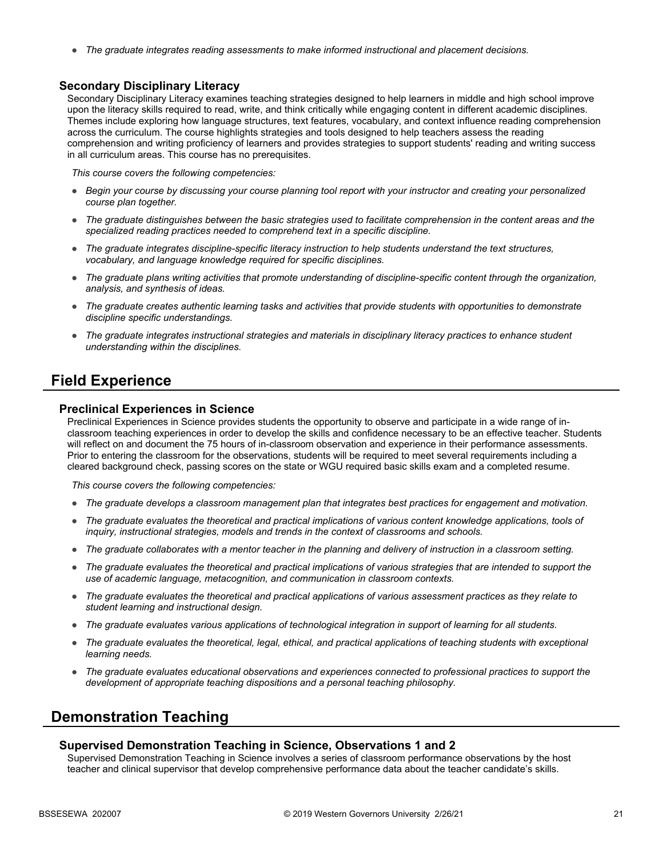● *The graduate integrates reading assessments to make informed instructional and placement decisions.*

### **Secondary Disciplinary Literacy**

Secondary Disciplinary Literacy examines teaching strategies designed to help learners in middle and high school improve upon the literacy skills required to read, write, and think critically while engaging content in different academic disciplines. Themes include exploring how language structures, text features, vocabulary, and context influence reading comprehension across the curriculum. The course highlights strategies and tools designed to help teachers assess the reading comprehension and writing proficiency of learners and provides strategies to support students' reading and writing success in all curriculum areas. This course has no prerequisites.

*This course covers the following competencies:*

- *Begin your course by discussing your course planning tool report with your instructor and creating your personalized course plan together.*
- *The graduate distinguishes between the basic strategies used to facilitate comprehension in the content areas and the specialized reading practices needed to comprehend text in a specific discipline.*
- *The graduate integrates discipline-specific literacy instruction to help students understand the text structures, vocabulary, and language knowledge required for specific disciplines.*
- *The graduate plans writing activities that promote understanding of discipline-specific content through the organization, analysis, and synthesis of ideas.*
- *The graduate creates authentic learning tasks and activities that provide students with opportunities to demonstrate discipline specific understandings.*
- *The graduate integrates instructional strategies and materials in disciplinary literacy practices to enhance student understanding within the disciplines.*

### **Field Experience**

#### **Preclinical Experiences in Science**

Preclinical Experiences in Science provides students the opportunity to observe and participate in a wide range of inclassroom teaching experiences in order to develop the skills and confidence necessary to be an effective teacher. Students will reflect on and document the 75 hours of in-classroom observation and experience in their performance assessments. Prior to entering the classroom for the observations, students will be required to meet several requirements including a cleared background check, passing scores on the state or WGU required basic skills exam and a completed resume.

*This course covers the following competencies:*

- *The graduate develops a classroom management plan that integrates best practices for engagement and motivation.*
- The graduate evaluates the theoretical and practical implications of various content knowledge applications, tools of *inquiry, instructional strategies, models and trends in the context of classrooms and schools.*
- *The graduate collaborates with a mentor teacher in the planning and delivery of instruction in a classroom setting.*
- *The graduate evaluates the theoretical and practical implications of various strategies that are intended to support the use of academic language, metacognition, and communication in classroom contexts.*
- *The graduate evaluates the theoretical and practical applications of various assessment practices as they relate to student learning and instructional design.*
- *The graduate evaluates various applications of technological integration in support of learning for all students.*
- *The graduate evaluates the theoretical, legal, ethical, and practical applications of teaching students with exceptional learning needs.*
- *The graduate evaluates educational observations and experiences connected to professional practices to support the development of appropriate teaching dispositions and a personal teaching philosophy.*

### **Demonstration Teaching**

### **Supervised Demonstration Teaching in Science, Observations 1 and 2**

Supervised Demonstration Teaching in Science involves a series of classroom performance observations by the host teacher and clinical supervisor that develop comprehensive performance data about the teacher candidate's skills.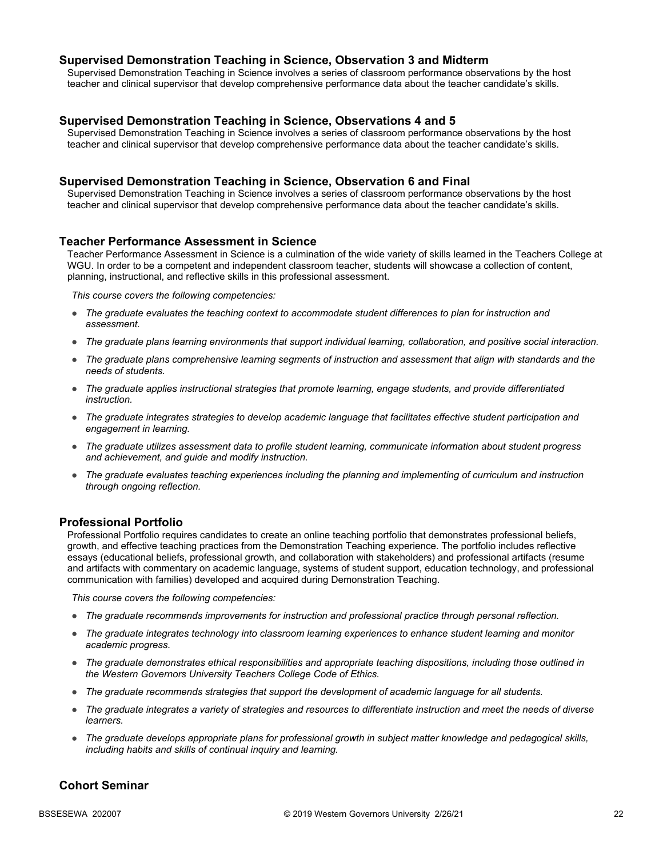### **Supervised Demonstration Teaching in Science, Observation 3 and Midterm**

Supervised Demonstration Teaching in Science involves a series of classroom performance observations by the host teacher and clinical supervisor that develop comprehensive performance data about the teacher candidate's skills.

### **Supervised Demonstration Teaching in Science, Observations 4 and 5**

Supervised Demonstration Teaching in Science involves a series of classroom performance observations by the host teacher and clinical supervisor that develop comprehensive performance data about the teacher candidate's skills.

### **Supervised Demonstration Teaching in Science, Observation 6 and Final**

Supervised Demonstration Teaching in Science involves a series of classroom performance observations by the host teacher and clinical supervisor that develop comprehensive performance data about the teacher candidate's skills.

#### **Teacher Performance Assessment in Science**

Teacher Performance Assessment in Science is a culmination of the wide variety of skills learned in the Teachers College at WGU. In order to be a competent and independent classroom teacher, students will showcase a collection of content, planning, instructional, and reflective skills in this professional assessment.

*This course covers the following competencies:*

- *The graduate evaluates the teaching context to accommodate student differences to plan for instruction and assessment.*
- *The graduate plans learning environments that support individual learning, collaboration, and positive social interaction.*
- *The graduate plans comprehensive learning segments of instruction and assessment that align with standards and the needs of students.*
- *The graduate applies instructional strategies that promote learning, engage students, and provide differentiated instruction.*
- *The graduate integrates strategies to develop academic language that facilitates effective student participation and engagement in learning.*
- *The graduate utilizes assessment data to profile student learning, communicate information about student progress and achievement, and guide and modify instruction.*
- *The graduate evaluates teaching experiences including the planning and implementing of curriculum and instruction through ongoing reflection.*

### **Professional Portfolio**

Professional Portfolio requires candidates to create an online teaching portfolio that demonstrates professional beliefs, growth, and effective teaching practices from the Demonstration Teaching experience. The portfolio includes reflective essays (educational beliefs, professional growth, and collaboration with stakeholders) and professional artifacts (resume and artifacts with commentary on academic language, systems of student support, education technology, and professional communication with families) developed and acquired during Demonstration Teaching.

*This course covers the following competencies:*

- *The graduate recommends improvements for instruction and professional practice through personal reflection.*
- *The graduate integrates technology into classroom learning experiences to enhance student learning and monitor academic progress.*
- *The graduate demonstrates ethical responsibilities and appropriate teaching dispositions, including those outlined in the Western Governors University Teachers College Code of Ethics.*
- *The graduate recommends strategies that support the development of academic language for all students.*
- *The graduate integrates a variety of strategies and resources to differentiate instruction and meet the needs of diverse learners.*
- *The graduate develops appropriate plans for professional growth in subject matter knowledge and pedagogical skills, including habits and skills of continual inquiry and learning.*

### **Cohort Seminar**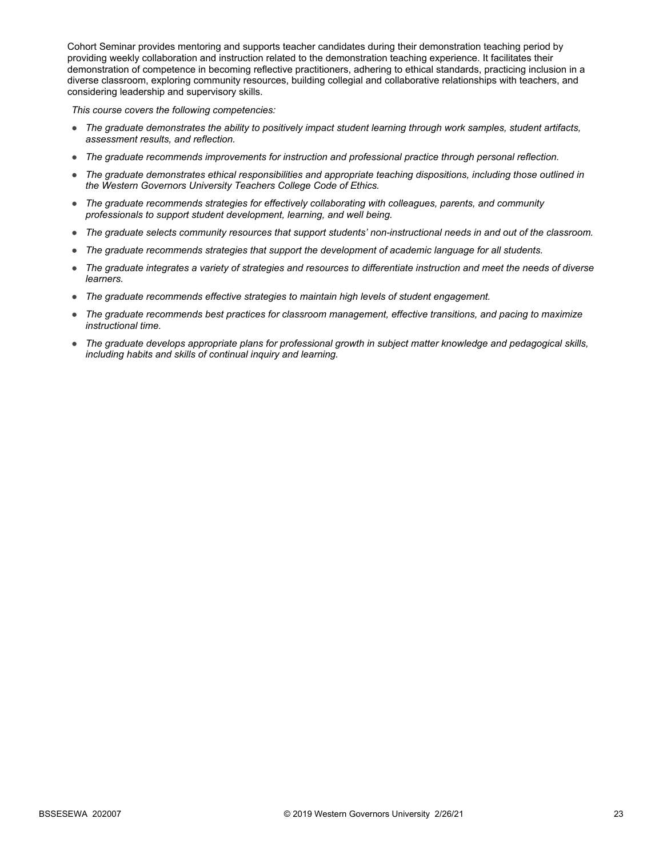Cohort Seminar provides mentoring and supports teacher candidates during their demonstration teaching period by providing weekly collaboration and instruction related to the demonstration teaching experience. It facilitates their demonstration of competence in becoming reflective practitioners, adhering to ethical standards, practicing inclusion in a diverse classroom, exploring community resources, building collegial and collaborative relationships with teachers, and considering leadership and supervisory skills.

- *The graduate demonstrates the ability to positively impact student learning through work samples, student artifacts, assessment results, and reflection.*
- *The graduate recommends improvements for instruction and professional practice through personal reflection.*
- *The graduate demonstrates ethical responsibilities and appropriate teaching dispositions, including those outlined in the Western Governors University Teachers College Code of Ethics.*
- *The graduate recommends strategies for effectively collaborating with colleagues, parents, and community professionals to support student development, learning, and well being.*
- *The graduate selects community resources that support students' non-instructional needs in and out of the classroom.*
- *The graduate recommends strategies that support the development of academic language for all students.*
- *The graduate integrates a variety of strategies and resources to differentiate instruction and meet the needs of diverse learners.*
- *The graduate recommends effective strategies to maintain high levels of student engagement.*
- *The graduate recommends best practices for classroom management, effective transitions, and pacing to maximize instructional time.*
- *The graduate develops appropriate plans for professional growth in subject matter knowledge and pedagogical skills, including habits and skills of continual inquiry and learning.*